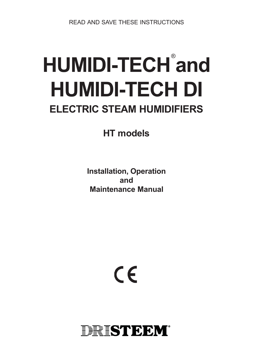READ AND SAVE THESE INSTRUCTIONS

# HUMIDI-TECH<sup>®</sup>and **HUMIDI-TECH DI ELECTRIC STEAM HUMIDIFIERS**

**HT models**

**Installation, Operation and Maintenance Manual**

 $\epsilon$ 

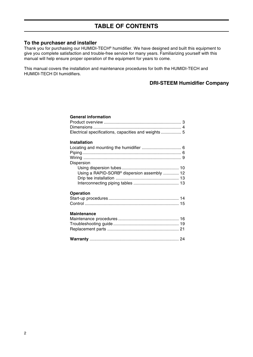## **To the purchaser and installer**

Thank you for purchasing our HUMIDI-TECH® humidifier. We have designed and built this equipment to give you complete satisfaction and trouble-free service for many years. Familiarizing yourself with this manual will help ensure proper operation of the equipment for years to come.

This manual covers the installation and maintenance procedures for both the HUMIDI-TECH and HUMIDI-TECH DI humidifiers.

# **DRI-STEEM Humidifier Company**

#### **General information**

| Electrical specifications, capacities and weights 5 |  |
|-----------------------------------------------------|--|
| <b>Installation</b>                                 |  |
|                                                     |  |
|                                                     |  |
|                                                     |  |
|                                                     |  |
| Dispersion                                          |  |
|                                                     |  |
| Using a RAPID-SORB® dispersion assembly  12         |  |
|                                                     |  |
|                                                     |  |
|                                                     |  |
| <b>Operation</b>                                    |  |
|                                                     |  |
|                                                     |  |
|                                                     |  |
| <b>Maintenance</b>                                  |  |
|                                                     |  |
|                                                     |  |
|                                                     |  |
|                                                     |  |
|                                                     |  |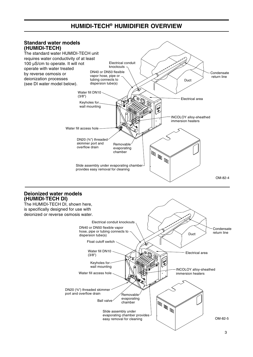# **HUMIDI-TECH® HUMIDIFIER OVERVIEW**

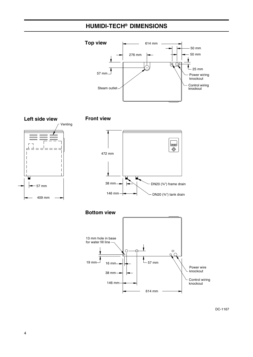# **HUMIDI-TECH® DIMENSIONS**









**Bottom view**



DC-1167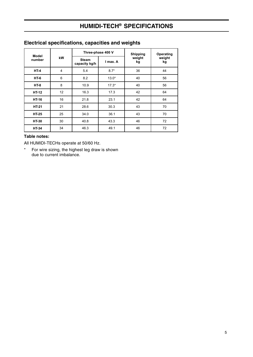# **HUMIDI-TECH® SPECIFICATIONS**

| Model        |                | Three-phase 400 V             |          | <b>Shipping</b> | Operating    |
|--------------|----------------|-------------------------------|----------|-----------------|--------------|
| number       | kW             | <b>Steam</b><br>capacity kg/h | I max. A | weight<br>kg    | weight<br>kg |
| $HT-4$       | $\overline{4}$ | 5.4                           | $8.7*$   | 36              | 44           |
| <b>HT-6</b>  | 6              | 8.2                           | $13.0*$  | 40              | 56           |
| $HT-8$       | 8              | 10.9                          | $17.3*$  | 40              | 56           |
| <b>HT-12</b> | 12             | 16.3                          | 17.3     | 42              | 64           |
| <b>HT-16</b> | 16             | 21.8                          | 23.1     | 42              | 64           |
| <b>HT-21</b> | 21             | 28.6                          | 30.3     | 43              | 70           |
| <b>HT-25</b> | 25             | 34.0                          | 36.1     | 43              | 70           |
| <b>HT-30</b> | 30             | 40.8                          | 43.3     | 46              | 72           |
| <b>HT-34</b> | 34             | 46.3                          | 49.1     | 46              | 72           |

# **Electrical specifications, capacities and weights**

## **Table notes:**

All HUMIDI-TECHs operate at 50/60 Hz.

\* For wire sizing, the highest leg draw is shown due to current imbalance.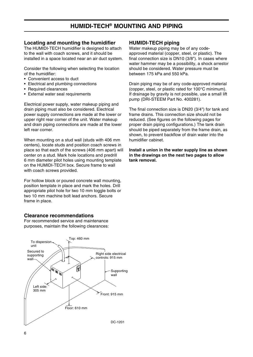# **HUMIDI-TECH® MOUNTING AND PIPING**

#### **Locating and mounting the humidifier**

The HUMIDI-TECH humidifier is designed to attach to the wall with coach screws, and it should be installed in a space located near an air duct system.

Consider the following when selecting the location of the humidifier:

- Convenient access to duct
- Electrical and plumbing connections
- Required clearances
- External water seal requirements

Electrical power supply, water makeup piping and drain piping must also be considered. Electrical power supply connections are made at the lower or upper right rear corner of the unit. Water makeup and drain piping connections are made at the lower left rear corner.

When mounting on a stud wall (studs with 406 mm centers), locate studs and position coach screws in place so that each of the screws (406 mm apart) will center on a stud. Mark hole locations and predrill 6 mm diameter pilot holes using mounting template on the HUMIDI-TECH box. Secure frame to wall with coach screws provided.

For hollow block or poured concrete wall mounting, position template in place and mark the holes. Drill appropriate pilot hole for two 10 mm toggle bolts or two 10 mm machine bolt lead anchors. Secure frame in place.

## **Clearance recommendations**

For recommended service and maintenance purposes, maintain the following clearances:



#### **HUMIDI-TECH piping**

Water makeup piping may be of any codeapproved material (copper, steel, or plastic). The final connection size is DN10 (3/8"). In cases where water hammer may be a possibility, a shock arrestor should be considered. Water pressure must be between 175 kPa and 550 kPa.

Drain piping may be of any code-approved material (copper, steel, or plastic rated for 100°C minimum). If drainage by gravity is not possible, use a small lift pump (DRI-STEEM Part No. 400281).

The final connection size is DN20 (3/4") for tank and frame drains. This connection size should not be reduced. (See figures on the following pages for proper drain piping configurations.) The tank drain should be piped separately from the frame drain, as shown, to prevent backflow of drain water into the humidifier cabinet.

**Install a union in the water supply line as shown in the drawings on the next two pages to allow tank removal.**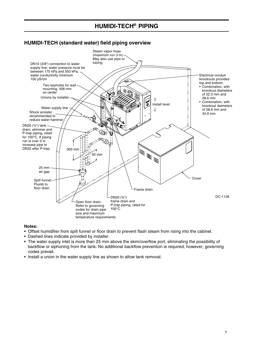# **HUMIDI-TECH® PIPING**

## **HUMIDI-TECH (standard water) field piping overview**



- Offset humidifier from spill funnel or floor drain to prevent flash steam from rising into the cabinet.
- Dashed lines indicate provided by installer.
- The water supply inlet is more than 25 mm above the skim/overflow port, eliminating the possibility of backflow or siphoning from the tank. No additional backflow prevention is required, however, governing codes prevail.
- Install a union in the water supply line as shown to allow tank removal.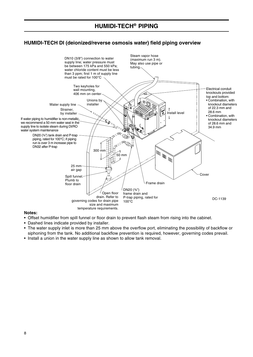# **HUMIDI-TECH DI (deionized/reverse osmosis water) field piping overview**



- Offset humidifier from spill funnel or floor drain to prevent flash steam from rising into the cabinet.
- Dashed lines indicate provided by installer.
- The water supply inlet is more than 25 mm above the overflow port, eliminating the possibility of backflow or siphoning from the tank. No additional backflow prevention is required, however, governing codes prevail.
- Install a union in the water supply line as shown to allow tank removal.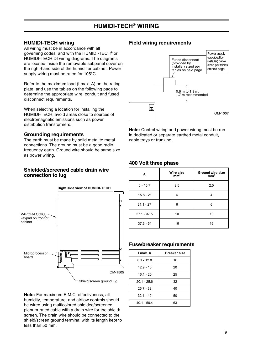## **HUMIDI-TECH wiring**

All wiring must be in accordance with all governing codes, and with the HUMIDI-TECH® or HUMIDI-TECH DI wiring diagrams. The diagrams are located inside the removable subpanel cover on the right-hand side of the humidifier cabinet. Power supply wiring must be rated for 105°C.

Refer to the maximum load (I max. A) on the rating plate, and use the tables on the following page to determine the appropriate wire, conduit and fused disconnect requirements.

When selecting a location for installing the HUMIDI-TECH, avoid areas close to sources of electromagnetic emissions such as power distribution transformers.

#### **Grounding requirements**

The earth must be made by solid metal to metal connections. The ground must be a good radio frequency earth. Ground wire should be same size as power wiring.

#### **Shielded/screened cable drain wire connection to lug**



**Note:** For maximum E.M.C. effectiveness, all humidity, temperature, and airflow controls should be wired using multicolored shielded/screened plenum-rated cable with a drain wire for the shield/ screen. The drain wire should be connected to the shield/screen ground terminal with its length kept to less than 50 mm.

## **Field wiring requirements**



**Note:** Control wiring and power wiring must be run in dedicated or separate earthed metal conduit, cable trays or trunking.

## **400 Volt three phase**

| A             | <b>Wire size</b><br>mm <sup>2</sup> | <b>Ground wire size</b><br>mm <sup>2</sup> |
|---------------|-------------------------------------|--------------------------------------------|
| $0 - 15.7$    | 2.5                                 | 2.5                                        |
| $15.8 - 21$   |                                     |                                            |
| $21.1 - 27$   | 6                                   | 6                                          |
| $27.1 - 37.5$ | 10                                  | 10                                         |
| $37.6 - 51$   | 16                                  | 16                                         |

## **Fuse/breaker requirements**

| I max. A      | <b>Breaker size</b> |
|---------------|---------------------|
| $8.1 - 12.8$  | 16                  |
| $12.9 - 16$   | 20                  |
| $16.1 - 20$   | 25                  |
| $20.1 - 25.6$ | 32                  |
| $25.7 - 32$   | 40                  |
| $32.1 - 40$   | 50                  |
| $40.1 - 50.4$ | 63                  |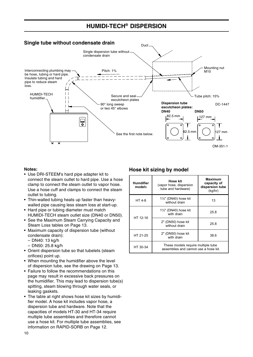# **HUMIDI-TECH® DISPERSION**



#### **Notes:**

- Use DRI-STEEM's hard pipe adapter kit to connect the steam outlet to hard pipe. Use a hose clamp to connect the steam outlet to vapor hose. Use a hose cuff and clamps to connect the steam outlet to tubing.
- Thin-walled tubing heats up faster than heavywalled pipe causing less steam loss at start-up.
- Hard pipe or tubing diameter must match HUMIDI-TECH steam outlet size (DN40 or DN50).
- See the Maximum Steam Carrying Capacity and Steam Loss tables on Page 13.
- Maximum capacity of dispersion tube (without condensate drain):
	- DN40: 13 kg/h
	- DN50: 25.8 kg/h
- Orient dispersion tube so that tubelets (steam orifices) point up.
- When mounting the humidifier above the level of dispersion tube, see the drawing on Page 13.
- Failure to follow the recommendations on this page may result in excessive back pressures on the humidifier. This may lead to dispersion tube(s) spitting, steam blowing through water seals, or leaking gaskets.
- The table at right shows hose kit sizes by humidifier model. A hose kit includes vapor hose, a dispersion tube and hardware. Note that the capacities of models HT-30 and HT-34 require multiple tube assemblies and therefore cannot use a hose kit. For multiple tube assemblies, see information on RAPID-SORB on Page 12.

## **Hose kit sizing by model**

| Humdifier<br>models | Hose kit<br>(vapor hose, dispersion<br>tube and hardware)                   | <b>Maximum</b><br>capacity of<br>dispersion tube<br>(kg/hr) |
|---------------------|-----------------------------------------------------------------------------|-------------------------------------------------------------|
| HT 4-8              | $1\frac{1}{2}$ " (DN40) hose kit<br>without drain                           | 13                                                          |
|                     | $1\frac{1}{2}$ " (DN40) hose kit<br>with drain                              | 25.8                                                        |
| HT 12-16            | 2" (DN50) hose kit<br>without drain                                         | 25.8                                                        |
| HT 21-25            | 2" (DN50) hose kit<br>with drain                                            | 38.6                                                        |
| HT 30-34            | These models require multiple tube<br>assemblies and cannot use a hose kit. |                                                             |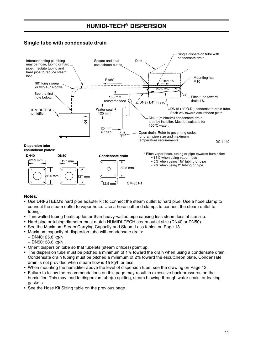# **Single tube with condensate drain**



- Use DRI-STEEM's hard pipe adapter kit to connect the steam outlet to hard pipe. Use a hose clamp to connect the steam outlet to vapor hose. Use a hose cuff and clamps to connect the steam outlet to tubing.
- Thin-walled tubing heats up faster than heavy-walled pipe causing less steam loss at start-up.
- Hard pipe or tubing diameter must match HUMIDI-TECH steam outlet size (DN40 or DN50).
- See the Maximum Steam Carrying Capacity and Steam Loss tables on Page 13.
- Maximum capacity of dispersion tube with condensate drain:
	- DN40: 25.8 kg/h
	- DN50: 38.6 kg/h
- Orient dispersion tube so that tubelets (steam orifices) point up.
- The dispersion tube must be pitched a minimum of 1% toward the drain when using a condensate drain. Condensate drain tubing must be pitched a minimum of 2% toward the escutcheon plate. Condensate drain is not provided when steam flow is 15 kg/h or less.
- When mounting the humidifier above the level of dispersion tube, see the drawing on Page 13.
- Failure to follow the recommendations on this page may result in excessive back pressures on the humidifier. This may lead to dispersion tube(s) spitting, steam blowing through water seals, or leaking gaskets.
- See the Hose Kit Sizing table on the previous page.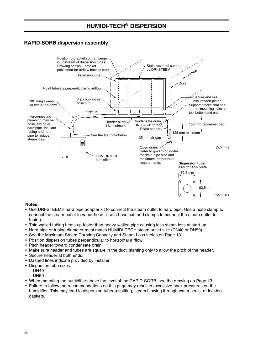# **HUMIDI-TECH® DISPERSION**

# **RAPID-SORB dispersion assembly**



- Use DRI-STEEM's hard pipe adapter kit to connect the steam outlet to hard pipe. Use a hose clamp to connect the steam outlet to vapor hose. Use a hose cuff and clamps to connect the steam outlet to tubing.
- Thin-walled tubing heats up faster than heavy-walled pipe causing less steam loss at start-up.
- Hard pipe or tubing diameter must match HUMIDI-TECH steam outlet size (DN40 or DN50).
- See the Maximum Steam Carrying Capacity and Steam Loss tables on Page 13.
- Position dispersion tubes perpendicular to horizontal airflow.
- Pitch header toward condensate drain.
- Make sure header and tubes are square in the duct, slanting only to allow the pitch of the header.
- Secure header at both ends.
- Dashed lines indicate provided by installer.
- Dispersion tube sizes:
	- DN40
	- DN50
- When mounting the humidifier above the level of the RAPID-SORB, see the drawing on Page 13.
- Failure to follow the recommendations on this page may result in excessive back pressures on the humidifier. This may lead to dispersion tube(s) spitting, steam blowing through water seals, or leaking gaskets.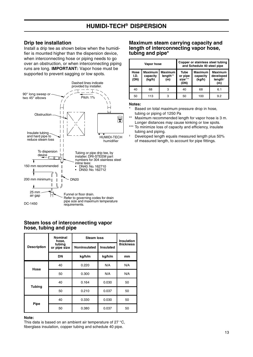#### **Drip tee installation**

Install a drip tee as shown below when the humidifier is mounted higher than the dispersion device, when interconnecting hose or piping needs to go over an obstruction, or when interconnecting piping runs are long. **IMPORTANT:** Vapor hose must be supported to prevent sagging or low spots.



#### **Steam loss of interconnecting vapor hose, tubing and pipe**

|                    | <b>Nominal</b><br>hose,                       | <b>Steam loss</b> |                  | <b>Insulation</b> |
|--------------------|-----------------------------------------------|-------------------|------------------|-------------------|
| <b>Description</b> | tubing<br><b>Noninsulated</b><br>or pipe size |                   | <b>Insulated</b> | thickness         |
|                    | <b>DN</b>                                     | kg/h/m            | kg/h/m           | mm                |
| Hose               | 40                                            | 0.220             | N/A              | N/A               |
|                    | 50                                            | 0.300             | N/A              | N/A               |
|                    | 40                                            | 0.164             | 0.030            | 50                |
| <b>Tubing</b>      | 50                                            | 0.210             | 0.037            | 50                |
|                    | 40                                            | 0.330             | 0.030            | 50                |
| Pipe               | 50                                            | 0.380             | 0.037            | 50                |

#### **Note:**

This data is based on an ambient air temperature of 27 °C, fiberglass insulation, copper tubing and schedule 40 pipe.

#### **Maximum steam carrying capacity and length of interconnecting vapor hose, tubing and pipe\***

| Vapor hose           |                                      |                                   | Copper or stainless steel tubing<br>and Schedule 40 steel pipe                    |     |                                                           |
|----------------------|--------------------------------------|-----------------------------------|-----------------------------------------------------------------------------------|-----|-----------------------------------------------------------|
| Hose<br>I.D.<br>(DN) | <b>Maximum</b><br>capacity<br>(kg/h) | <b>Maximum</b><br>length**<br>(m) | <b>Maximum</b><br><b>Tube</b><br>or pipe<br>capacity<br>size***<br>(kg/h)<br>(DN) |     | <b>Maximum</b><br>developed<br>length <sup>†</sup><br>(m) |
| 40                   | 68                                   | 3                                 | 40                                                                                | 68  | 6.1                                                       |
| 50                   | 113                                  | 3                                 | 50                                                                                | 100 | 9.2                                                       |

- Based on total maximum pressure drop in hose, tubing or piping of 1250 Pa
- \*\* Maximum recommended length for vapor hose is 3 m. Longer distances may cause kinking or low spots.
- \*\*\* To minimize loss of capacity and efficiency, insulate tubing and piping.
- † Developed length equals measured length plus 50% of measured length, to account for pipe fittings.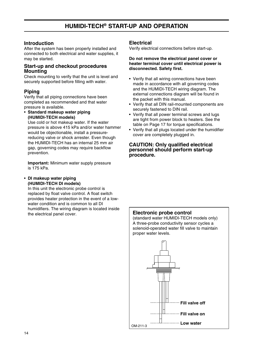## **Introduction**

After the system has been properly installed and connected to both electrical and water supplies, it may be started.

## **Start-up and checkout procedures Mounting**

Check mounting to verify that the unit is level and securely supported before filling with water.

## **Piping**

Verify that all piping connections have been completed as recommended and that water pressure is available.

• **Standard makeup water piping (HUMIDI-TECH models)**

Use cold or hot makeup water. If the water pressure is above 415 kPa and/or water hammer would be objectionable, install a pressurereducing valve or shock arrester. Even though the HUMIDI-TECH has an internal 25 mm air gap, governing codes may require backflow prevention.

**Important:** Minimum water supply pressure is 175 kPa.

#### • **DI makeup water piping (HUMIDI-TECH DI models)**

In this unit the electronic probe control is replaced by float valve control. A float switch provides heater protection in the event of a lowwater condition and is common to all DI humidifiers. The wiring diagram is located inside the electrical panel cover.

## **Electrical**

Verify electrical connections before start-up.

#### **Do not remove the electrical panel cover or heater terminal cover until electrical power is disconnected. Safety first.**

- Verify that all wiring connections have been made in accordance with all governing codes and the HUMIDI-TECH wiring diagram. The external connections diagram will be found in the packet with this manual.
- Verify that all DIN rail-mounted components are securely fastened to DIN rail.
- Verify that all power terminal screws and lugs are tight from power block to heaters. See the table on Page 17 for torque specifications.
- Verify that all plugs located under the humidifier cover are completely plugged in.

#### **CAUTION: Only qualified electrical personnel should perform start-up procedure.**

## **Electronic probe control**

(standard water HUMIDI-TECH models only) A three-probe conductivity sensor cycles a solenoid-operated water fill valve to maintain proper water levels.

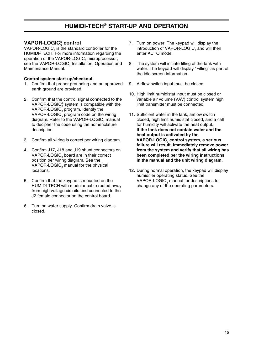# **VAPOR-LOGIC® 3 control**

VAPOR-LOGIC $_3$  is the standard controller for the HUMIDI-TECH. For more information regarding the operation of the VAPOR-LOGIC $_{_3}$  microprocessor, see the VAPOR-LOGIC<sub>2</sub> Installation, Operation and Maintenance Manual.

#### **Control system start-up/checkout**

- 1. Confirm that proper grounding and an approved earth ground are provided.
- 2. Confirm that the control signal connected to the VAPOR-LOGIC $_3^{\circ}$  system is compatible with the VAPOR-LOGIC $_{_3}$  program. Identify the VAPOR-LOGIC $_{_3}$  program code on the wiring diagram. Refer to the VAPOR-LOGIC<sub>2</sub> manual to decipher the code using the nomenclature description.
- 3. Confirm all wiring is correct per wiring diagram.
- 4. Confirm J17, J18 and J19 shunt connectors on VAPOR-LOGIC $_{3}$  board are in their correct position per wiring diagram. See the VAPOR-LOGIC $_{3}$  manual for the physical locations.
- 5. Confirm that the keypad is mounted on the HUMIDI-TECH with modular cable routed away from high voltage circuits and connected to the J2 female connector on the control board.
- 6. Turn on water supply. Confirm drain valve is closed.
- 7. Turn on power. The keypad will display the introduction of VAPOR-LOGIC $_{\rm_3}$  and will then enter AUTO mode.
- 8. The system will initiate filling of the tank with water. The keypad will display "Filling" as part of the idle screen information.
- 9. Airflow switch input must be closed.
- 10. High limit humidistat input must be closed or variable air volume (VAV) control system high limit transmitter must be connected.
- 11. Sufficient water in the tank, airflow switch closed, high limit humidistat closed, and a call for humidity will activate the heat output. **If the tank does not contain water and the heat output is activated by the VAPOR-LOGIC3 control system, a serious failure will result. Immediately remove power from the system and verify that all wiring has been completed per the wiring instructions in the manual and the unit wiring diagram.**
- 12. During normal operation, the keypad will display humidifier operating status. See the VAPOR-LOGIC $_{_3}$  manual for descriptions to change any of the operating parameters.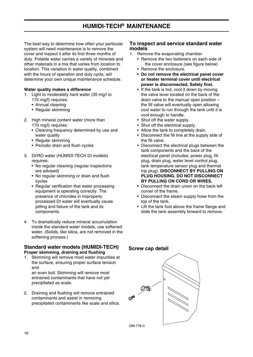# **HUMIDI-TECH® MAINTENANCE**

The best way to determine how often your particular system will need maintenance is to remove the cover and inspect it after its first three months of duty. Potable water carries a variety of minerals and other materials in a mix that varies from location to location. This variation in water quality, combined with the hours of operation and duty cycle, will determine your own unique maintenance schedule.

#### **Water quality makes a difference**

- 1. Light to moderately hard water (35 mg/l to 170 mg/l) requires:
	- Annual cleaning
	- Regular skimming
- 2. High mineral content water (more than 170 mg/l) requires:
	- Cleaning frequency determined by use and water quality
	- Regular skimming
	- Periodic drain and flush cycles
- 3. DI/RO water (HUMIDI-TECH DI models) requires:
	- No regular cleaning (regular inspections are advised)
	- No regular skimming or drain and flush cycles
	- Regular verification that water processing equipment is operating correctly. The presence of chlorides in improperly processed DI water will eventually cause pitting and failure of the tank and its components.
- 4. To dramatically reduce mineral accumulation inside the standard water models, use softened water. (Solids, like silica, are not removed in the softening process.)

#### **Standard water models (HUMIDI-TECH) Proper skimming, draining and flushing**

1. Skimming will remove most water impurities at the surface, ensuring proper surface tension and an even boil. Skimming will remove most

entrained contaminants that have not yet precipitated as scale.

2. Draining and flushing will remove entrained contaminants and assist in removing precipitated contaminants like scale and silica.

#### **To inspect and service standard water models**

- 1. Remove the evaporating chamber
	- Remove the two fasteners on each side of the cover enclosure (see figure below)
	- Remove the enclosure.
	- **Do not remove the electrical panel cover or heater terminal cover until electrical power is disconnected. Safety first.**
	- If the tank is hot, cool it down by moving the valve lever located on the back of the drain valve to the manual open position – the fill valve will eventually open allowing cool water to run through the tank until it is cool enough to handle.
	- Shut off the water supply.
	- Shut off the electrical supply.
	- Allow the tank to completely drain.
	- Disconnect the fill line at the supply side of the fill valve.
	- Disconnect the electrical plugs between the tank components and the back of the electrical panel (includes: power plug, fill plug, drain plug, water level control plug, tank temperature sensor plug and thermal trip plug). **DISCONNECT BY PULLING ON PLUG HOUSING. DO NOT DISCONNECT BY PULLING ON CORD OR WIRES.**
	- Disconnect the drain union on the back left corner of the frame.
	- Disconnect the steam supply hose from the top of the tank.
	- Lift the tank foot above the frame flange and slide the tank assembly forward to remove.

## **Screw cap detail**

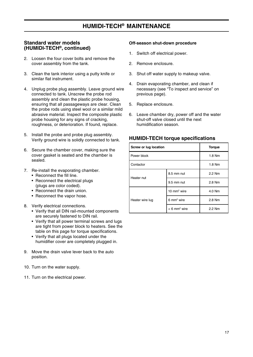## **Standard water models (HUMIDI-TECH®, continued)**

- 2. Loosen the four cover bolts and remove the cover assembly from the tank.
- 3. Clean the tank interior using a putty knife or similar flat instrument.
- 4. Unplug probe plug assembly. Leave ground wire connected to tank. Unscrew the probe rod assembly and clean the plastic probe housing, ensuring that all passageways are clear. Clean the probe rods using steel wool or a similar mild abrasive material. Inspect the composite plastic probe housing for any signs of cracking, roughness, or deterioration. If found, replace.
- 5. Install the probe and probe plug assembly. Verify ground wire is solidly connected to tank.
- 6. Secure the chamber cover, making sure the cover gasket is seated and the chamber is sealed.
- 7. Re-install the evaporating chamber.
	- Reconnect the fill line.
	- Reconnect the electrical plugs (plugs are color coded).
	- Reconnect the drain union.
	- Reconnect the vapor hose.
- 8. Verify electrical connections.
	- Verify that all DIN rail-mounted components are securely fastened to DIN rail.
	- Verify that all power terminal screws and lugs are tight from power block to heaters. See the table on this page for torque specifications.
	- Verify that all plugs located under the humidifier cover are completely plugged in.
- 9. Move the drain valve lever back to the auto position.
- 10. Turn on the water supply.
- 11. Turn on the electrical power.

#### **Off-season shut-down procedure**

- 1. Switch off electrical power.
- 2. Remove enclosure.
- 3. Shut off water supply to makeup valve.
- 4. Drain evaporating chamber, and clean if necessary (see "To inspect and service" on previous page).
- 5. Replace enclosure.
- 6. Leave chamber dry, power off and the water shut-off valve closed until the next humidification season.

#### **HUMIDI-TECH torque specifications**

| Screw or lug location | <b>Torque</b>              |        |
|-----------------------|----------------------------|--------|
| Power block           |                            | 1.8 Nm |
| Contactor             |                            | 1.8 Nm |
| Heater nut            | 8.5 mm nut                 | 2.2 Nm |
|                       | 9.5 mm nut                 | 2.8 Nm |
|                       | 10 $mm2$ wire              | 4.0 Nm |
| Heater wire lug       | $6 \text{ mm}^2$ wire      | 2.8 Nm |
|                       | $< 6$ mm <sup>2</sup> wire | 2.2 Nm |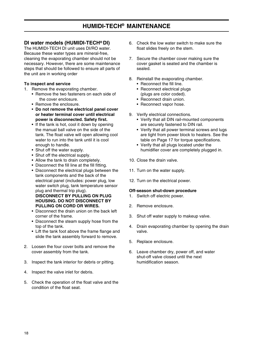# **HUMIDI-TECH® MAINTENANCE**

## **DI water models (HUMIDI-TECH® DI)**

The HUMIDI-TECH DI unit uses DI/RO water. Because these water types are mineral-free, cleaning the evaporating chamber should not be necessary. However, there are some maintenance steps that should be followed to ensure all parts of the unit are in working order

#### **To inspect and service**

- 1. Remove the evaporating chamber.
	- Remove the two fasteners on each side of the cover enclosure.
	- Remove the enclosure.
	- **Do not remove the electrical panel cover or heater terminal cover until electrical power is disconnected. Safety first.**
	- If the tank is hot, cool it down by opening the manual ball valve on the side of the tank. The float valve will open allowing cool water to run into the tank until it is cool enough to handle.
	- Shut off the water supply.
	- Shut off the electrical supply.
	- Allow the tank to drain completely.
	- Disconnect the fill line at the fill fitting.
	- Disconnect the electrical plugs between the tank components and the back of the electrical panel (includes: power plug, low water switch plug, tank temperature sensor plug and thermal trip plug). **DISCONNECT BY PULLING ON PLUG HOUSING. DO NOT DISCONNECT BY PULLING ON CORD OR WIRES.**
	- Disconnect the drain union on the back left corner of the frame.
	- Disconnect the steam supply hose from the top of the tank.
	- Lift the tank foot above the frame flange and slide the tank assembly forward to remove.
- 2. Loosen the four cover bolts and remove the cover assembly from the tank.
- 3. Inspect the tank interior for debris or pitting.
- 4. Inspect the valve inlet for debris.
- 5. Check the operation of the float valve and the condition of the float seat.
- 6. Check the low water switch to make sure the float slides freely on the stem.
- 7. Secure the chamber cover making sure the cover gasket is seated and the chamber is sealed.
- 8. Reinstall the evaporating chamber.
	- Reconnect the fill line.
	- Reconnect electrical plugs (plugs are color coded).
	- Reconnect drain union.
	- Reconnect vapor hose.
- 9. Verify electrical connections.
	- Verify that all DIN rail-mounted components are securely fastened to DIN rail.
	- Verify that all power terminal screws and lugs are tight from power block to heaters. See the table on Page 17 for torque specifications.
	- Verify that all plugs located under the humidifier cover are completely plugged in.
- 10. Close the drain valve.
- 11. Turn on the water supply.
- 12. Turn on the electrical power.

#### **Off-season shut-down procedure**

- 1. Switch off electric power.
- 2. Remove enclosure.
- 3. Shut off water supply to makeup valve.
- 4. Drain evaporating chamber by opening the drain valve.
- 5. Replace enclosure.
- 6. Leave chamber dry, power off, and water shut-off valve closed until the next humidification season.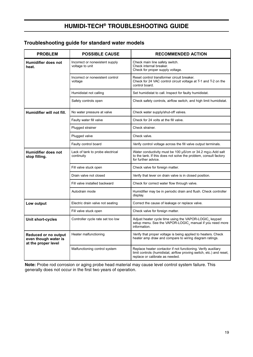# **HUMIDI-TECH® TROUBLESHOOTING GUIDE**

# **Troubleshooting guide for standard water models**

| <b>PROBLEM</b>                                                      | <b>POSSIBLE CAUSE</b>                              | <b>RECOMMENDED ACTION</b>                                                                                                                                                |
|---------------------------------------------------------------------|----------------------------------------------------|--------------------------------------------------------------------------------------------------------------------------------------------------------------------------|
| <b>Humidifier does not</b><br>heat.                                 | Incorrect or nonexistent supply<br>voltage to unit | Check main line safety switch.<br>Check internal breaker.<br>Check for proper supply voltage.                                                                            |
|                                                                     | Incorrect or nonexistent control<br>voltage        | Reset control transformer circuit breaker.<br>Check for 24 VAC control circuit voltage at T-1 and T-2 on the<br>control board.                                           |
|                                                                     | Humidistat not calling                             | Set humidistat to call. Inspect for faulty humidistat.                                                                                                                   |
|                                                                     | Safety controls open                               | Check safety controls, airflow switch, and high limit humidistat.                                                                                                        |
| Humidifier will not fill.                                           | No water pressure at valve                         | Check water supply/shut-off valves.                                                                                                                                      |
|                                                                     | Faulty water fill valve                            | Check for 24 volts at the fill valve.                                                                                                                                    |
|                                                                     | Plugged strainer                                   | Check strainer.                                                                                                                                                          |
|                                                                     | Plugged valve                                      | Check valve.                                                                                                                                                             |
|                                                                     | Faulty control board                               | Verify control voltage across the fill valve output terminals.                                                                                                           |
| <b>Humidifier does not</b><br>stop filling.                         | Lack of tank to probe electrical<br>continuity     | Water conductivity must be 100 µS/cm or 34.2 mg2o Add salt<br>to the tank. If this does not solve the problem, consult factory<br>for further advice.                    |
|                                                                     | Fill valve stuck open                              | Check valve for foreign matter.                                                                                                                                          |
|                                                                     | Drain valve not closed                             | Verify that lever on drain valve is in closed position.                                                                                                                  |
|                                                                     | Fill valve installed backward                      | Check for correct water flow through valve.                                                                                                                              |
|                                                                     | Autodrain mode                                     | Humidifier may be in periodic drain and flush. Check controller<br>display.                                                                                              |
| Low output                                                          | Electric drain valve not seating                   | Correct the cause of leakage or replace valve.                                                                                                                           |
|                                                                     | Fill valve stuck open                              | Check valve for foreign matter.                                                                                                                                          |
| Unit short-cycles                                                   | Controller cycle rate set too low                  | Adjust heater cycle time using the VAPOR-LOGIC <sub>3</sub> keypad<br>setup menu. See the VAPOR-LOGIC <sub>3</sub> manual if you need more<br>information.               |
| Reduced or no output<br>even though water is<br>at the proper level | Heater malfunctioning                              | Verify that proper voltage is being applied to heaters. Check<br>heater amp draw and compare to wiring diagram ratings.                                                  |
|                                                                     | Malfunctioning control system                      | Replace heater contactor if not functioning. Verify auxiliary<br>limit controls (humidistat, airflow proving switch, etc.) and reset,<br>replace or calibrate as needed. |

**Note:** Probe rod corrosion or aging probe head material may cause level control system failure. This generally does not occur in the first two years of operation.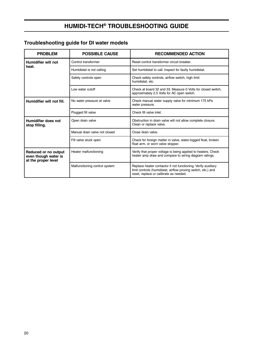# **HUMIDI-TECH® TROUBLESHOOTING GUIDE**

# **Troubleshooting guide for DI water models**

| <b>PROBLEM</b>                                                      | <b>POSSIBLE CAUSE</b>         | <b>RECOMMENDED ACTION</b>                                                                                                                                                |
|---------------------------------------------------------------------|-------------------------------|--------------------------------------------------------------------------------------------------------------------------------------------------------------------------|
| Humidifier will not                                                 | Control transformer           | Reset control transformer circuit breaker.                                                                                                                               |
| heat.                                                               | Humidistat is not calling     | Set humidistat to call. Inspect for faulty humidistat.                                                                                                                   |
|                                                                     | Safety controls open          | Check safety controls, airflow switch, high limit<br>humidistat, etc.                                                                                                    |
|                                                                     | Low water cutoff              | Check at board 32 and 33. Measure 0 Volts for closed switch.<br>approximately 2.5 Volts for AC open switch.                                                              |
| Humidifier will not fill.                                           | No water pressure at valve    | Check manual water supply valve for minimum 175 kPa<br>water pressure.                                                                                                   |
|                                                                     | Plugged fill valve            | Check fill valve inlet.                                                                                                                                                  |
| Humidifier does not<br>stop filling.                                | Open drain valve              | Obstruction in drain valve will not allow complete closure.<br>Clean or replace valve.                                                                                   |
|                                                                     | Manual drain valve not closed | Close drain valve.                                                                                                                                                       |
|                                                                     | Fill valve stuck open         | Check for foreign matter in valve, water-logged float, broken<br>float arm, or worn valve stopper.                                                                       |
| Reduced or no output<br>even though water is<br>at the proper level | Heater malfunctioning         | Verify that proper voltage is being applied to heaters. Check<br>heater amp draw and compare to wiring diagram ratings.                                                  |
|                                                                     | Malfunctioning control system | Replace heater contactor if not functioning. Verify auxiliary<br>limit controls (humidistat, airflow proving switch, etc.) and<br>reset, replace or calibrate as needed. |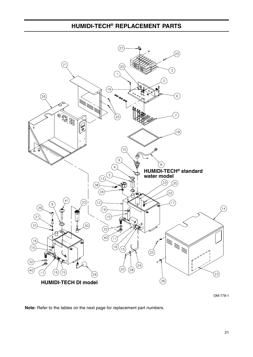

OM-778-1

**Note:** Refer to the tables on the next page for replacement part numbers.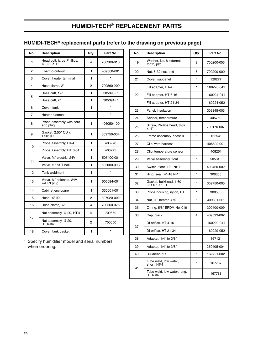# **HUMIDI-TECH® REPLACEMENT PARTS**

# **HUMIDI-TECH® replacement parts (refer to the drawing on previous page)**

| No. | <b>Description</b>                                    | Qty.         | Part No.   |
|-----|-------------------------------------------------------|--------------|------------|
| 1   | Head bolt, large Phillips,<br>$\frac{1}{4}$ - 20 X 1" | 4            | 700300-013 |
| 2   | Thermo cut-out                                        | 1            | 409560-001 |
| 3   | Cover, heater terminal                                | 1            | $\star$    |
| 4   | Hose clamp, 2"                                        | 2            | 700560-200 |
|     | Hose cuff, 11/2"                                      | 1            | 305390-*   |
| 5   | Hose cuff, 2"                                         | 1            | 305391-*   |
| 6   | Cover, tank                                           | 1            | $\star$    |
| 7   | Heater element                                        | $\star$      | $\star$    |
| 8   | Probe assembly with cord<br>and plug                  | 1            | 406050-100 |
| 9   | Gasket, 2.50" OD x<br>1.90" ID                        | 1            | 309750-004 |
|     | Probe assembly, HT-4                                  | 1            | 406270     |
| 10  | Probe assembly, HT 6-34                               | 1            | 406275     |
|     | Valve, 3/4" electric, 24V                             | $\mathbf{1}$ | 505400-001 |
| 11  | Valve, 1/2" SST ball                                  | 1            | 505000-003 |
| 12  | Tank weldment                                         | 1            | $\star$    |
| 13  | Valve, 1/4" solenoid, 24V<br>w/DIN plug               | 1            | 505084-001 |
| 14  | Cabinet enclosure                                     | 1            | 330001-001 |
| 15  | Hose, 3/4" ID                                         | 2            | 307020-002 |
| 16  | Hose clamp, 3/4"                                      | 4            | 700560-075 |
|     | Nut assembly, 1/4-20, HT-4                            | 4            | 700650     |
| 17  | Nut assembly, 1/4-20,<br>HT 6-34                      | 2            | 700650     |
| 18  | Cover, tank gasket                                    | 1            | $\star$    |

\* Specify humidifier model and serial numbers when ordering.

| No. | <b>Description</b>                              | Qty. | Part No.   |
|-----|-------------------------------------------------|------|------------|
| 19  | Washer, No. 8 external<br>tooth, pltd           | 2    | 700200-003 |
| 20  | Nut, 8-32 hex, pitd                             | 6    | 700200-002 |
| 21  | Cover, subpanel                                 | 1    | 120277     |
|     | Fill adapter, HT-4                              | 1    | 160226-041 |
| 22  | Fill adapter, HT 6-16                           | 1    | 160224-041 |
|     | Fill adapter, HT 21-34                          | 1    | 160224-052 |
| 23  | Panel, insulation                               | 1    | 309845-003 |
| 24  | Sensor, temperature                             | 1    | 405760     |
| 25  | Screw, Phillips head, 8-32<br>$x \frac{1}{2}$ " | 8    | 700170-007 |
| 26  | Frame assembly, chassis                         | 1    | 165541     |
| 27  | Clip, wire harness                              | 1    | 405892-001 |
| 28  | Clip, temperature sensor                        | 1    | 408251     |
| 29  | Valve assembly, float                           | 1    | 505310     |
| 30  | Switch, float, 1/8" NPT                         | 1    | 408420-002 |
| 31  | Ring, seal, $1/4$ "-18 NPT                      | 1    | 306365     |
| 32  | Gasket, bulkhead, 1.60<br>OD X 1.15 ID          | 1    | 309750-005 |
| 33  | Probe housing, nylon, HT                        | 1    | 308500     |
| 34  | Nut, HT heater .475                             | 1    | 409601-001 |
| 35  | O-ring, 5/8" EPDM No. 016                       | 1    | 300400-009 |
| 36  | Cap, black                                      | 4    | 409593-002 |
|     | DI orifice, HT 4-16                             | 1    | 160229-041 |
| 37  | DI orifice, HT 21-34                            | 1    | 160229-052 |
| 38  | Adapter, 1/4" to 3/8"                           | 1    | 167121     |
| 39  | Adapter, 1/4" to 3/8"                           | 1    | 250405-004 |
| 40  | Bulkhead nut                                    | 1    | 162721-002 |
|     | Tube weld, low water,<br>short, HT-4            | 1    | 167787     |
| 41  | Tube weld, low water, long,<br>HT 6-34          | 1    | 167788     |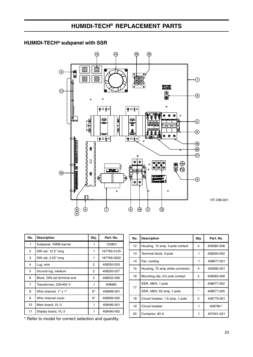## **HUMIDI-TECH® subpanel with SSR**



| No.            | <b>Description</b>           | Qty. | Part. No.   |
|----------------|------------------------------|------|-------------|
| $\mathbf{1}$   | Subpanel, VM99 barrier       | 1    | 120801      |
| $\overline{2}$ | DIN rail, 12.5" long         | 1    | 167765-0125 |
| 3              | DIN rail, 2.25" long         | 1    | 167765-0022 |
| 4              | Lug, wire                    | 2    | 409250-003  |
| 5              | Ground lug, medium           | 2    | 408250-027  |
| 6              | Block, DIN rail terminal end | 5    | 408252-006  |
| 7              | Transformer, 230/400 V       | 1    | 408985      |
| 8              | Wire channel, 1" x 1"        | 6"   | 408999-001  |
| 9              | Wire channel cover           | 6"   | 408999-002  |
| 10             | Main board, VL-3             | 1    | 408490-001  |
| 11             | Display board, VL-3          |      | 408490-002  |

**No. Description Qty. Part.** No. 12 | Housing, 15 amp, 4-pole contact  $\begin{vmatrix} 4 & 409585-008 \end{vmatrix}$ 13 Terminal block, 3-pole  $\begin{array}{|c|c|c|c|c|c|c|c|} \hline 1 & 408300-002 \end{array}$ 14 Fan, cooling 1 1 408677-001 15 | Housing, 75 amp white connector  $\begin{vmatrix} 4 & 409585-001 \end{vmatrix}$ 16 | Mounting clip, 2/4 pole contact | 2 | 409585-009 17 SSR, 480V, 1-pole  $\begin{array}{|c|c|c|c|c|c|}\n\hline\n\end{array}$  408677-002 SSR, 480V, 63 amp, 1-pole  $\begin{array}{|c|c|c|c|c|c|c|c|c|} \hline \end{array}$  + 408677-005 18 | Circuit breaker, 1.6 amp, 1-pole  $\begin{array}{|c|c|c|c|c|c|} \hline 2 & 406775-001 \end{array}$ 19 Circuit breaker 1 1 408790-\* 20 Contactor, 60 A 1 407001-021

\* Refer to model for correct selection and quantity.

HT-OM-001